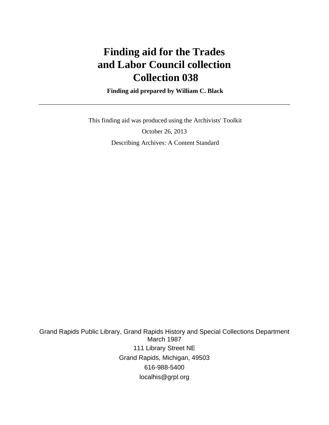# **Finding aid for the Trades and Labor Council collection Collection 038**

 **Finding aid prepared by William C. Black**

 This finding aid was produced using the Archivists' Toolkit October 26, 2013 Describing Archives: A Content Standard

Grand Rapids Public Library, Grand Rapids History and Special Collections Department March 1987 111 Library Street NE Grand Rapids, Michigan, 49503 616-988-5400 localhis@grpl.org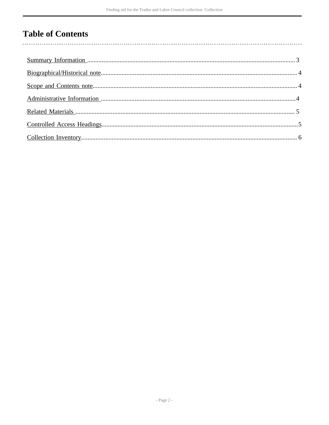## **Table of Contents**

 $\overline{\phantom{a}}$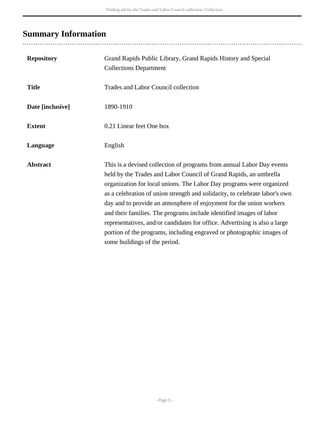## <span id="page-2-0"></span>**Summary Information**

| <b>Repository</b> | Grand Rapids Public Library, Grand Rapids History and Special<br><b>Collections Department</b>                                                                                                                                                                                                                                                                                                                                                                                                                                                                                                                                          |
|-------------------|-----------------------------------------------------------------------------------------------------------------------------------------------------------------------------------------------------------------------------------------------------------------------------------------------------------------------------------------------------------------------------------------------------------------------------------------------------------------------------------------------------------------------------------------------------------------------------------------------------------------------------------------|
| <b>Title</b>      | Trades and Labor Council collection                                                                                                                                                                                                                                                                                                                                                                                                                                                                                                                                                                                                     |
| Date [inclusive]  | 1890-1910                                                                                                                                                                                                                                                                                                                                                                                                                                                                                                                                                                                                                               |
| <b>Extent</b>     | 0.21 Linear feet One box                                                                                                                                                                                                                                                                                                                                                                                                                                                                                                                                                                                                                |
| Language          | English                                                                                                                                                                                                                                                                                                                                                                                                                                                                                                                                                                                                                                 |
| <b>Abstract</b>   | This is a devised collection of programs from annual Labor Day events<br>held by the Trades and Labor Council of Grand Rapids, an umbrella<br>organization for local unions. The Labor Day programs were organized<br>as a celebration of union strength and solidarity, to celebrate labor's own<br>day and to provide an atmosphere of enjoyment for the union workers<br>and their families. The programs include identified images of labor<br>representatives, and/or candidates for office. Advertising is also a large<br>portion of the programs, including engraved or photographic images of<br>some buildings of the period. |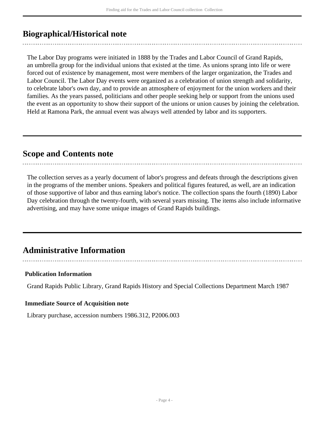### <span id="page-3-0"></span>**Biographical/Historical note**

The Labor Day programs were initiated in 1888 by the Trades and Labor Council of Grand Rapids, an umbrella group for the individual unions that existed at the time. As unions sprang into life or were forced out of existence by management, most were members of the larger organization, the Trades and Labor Council. The Labor Day events were organized as a celebration of union strength and solidarity, to celebrate labor's own day, and to provide an atmosphere of enjoyment for the union workers and their families. As the years passed, politicians and other people seeking help or support from the unions used the event as an opportunity to show their support of the unions or union causes by joining the celebration. Held at Ramona Park, the annual event was always well attended by labor and its supporters.

### <span id="page-3-1"></span>**Scope and Contents note**

The collection serves as a yearly document of labor's progress and defeats through the descriptions given in the programs of the member unions. Speakers and political figures featured, as well, are an indication of those supportive of labor and thus earning labor's notice. The collection spans the fourth (1890) Labor Day celebration through the twenty-fourth, with several years missing. The items also include informative advertising, and may have some unique images of Grand Rapids buildings.

### <span id="page-3-2"></span>**Administrative Information**

#### **Publication Information**

Grand Rapids Public Library, Grand Rapids History and Special Collections Department March 1987

#### **Immediate Source of Acquisition note**

Library purchase, accession numbers 1986.312, P2006.003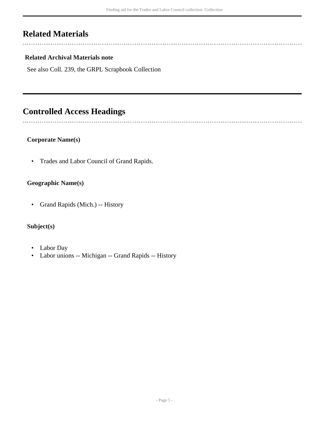### <span id="page-4-0"></span>**Related Materials**

 $\sim$ 

 $\overline{a}$ 

### **Related Archival Materials note**

See also Coll. 239, the GRPL Scrapbook Collection

### <span id="page-4-1"></span>**Controlled Access Headings**

#### **Corporate Name(s)**

• Trades and Labor Council of Grand Rapids.

#### **Geographic Name(s)**

• Grand Rapids (Mich.) -- History

### **Subject(s)**

- Labor Day
- Labor unions -- Michigan -- Grand Rapids -- History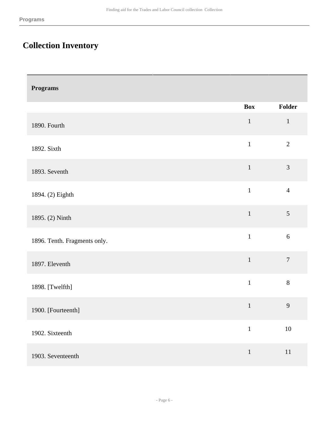# <span id="page-5-0"></span>**Collection Inventory**

| <b>Programs</b>              |              |                  |
|------------------------------|--------------|------------------|
|                              | <b>Box</b>   | Folder           |
| 1890. Fourth                 | $\mathbf 1$  | $\mathbf{1}$     |
| 1892. Sixth                  | $\mathbf{1}$ | $\overline{2}$   |
| 1893. Seventh                | $\mathbf{1}$ | $\mathfrak{Z}$   |
| 1894. (2) Eighth             | $\mathbf{1}$ | $\overline{4}$   |
| 1895. (2) Ninth              | $\mathbf 1$  | $\sqrt{5}$       |
| 1896. Tenth. Fragments only. | $\mathbf{1}$ | $\boldsymbol{6}$ |
| 1897. Eleventh               | $\mathbf{1}$ | $\overline{7}$   |
| 1898. [Twelfth]              | $\mathbf{1}$ | $8\,$            |
| 1900. [Fourteenth]           | $\mathbf{1}$ | 9                |
| 1902. Sixteenth              | $\mathbf{1}$ | $10\,$           |
| 1903. Seventeenth            | $\mathbf{1}$ | $11\,$           |